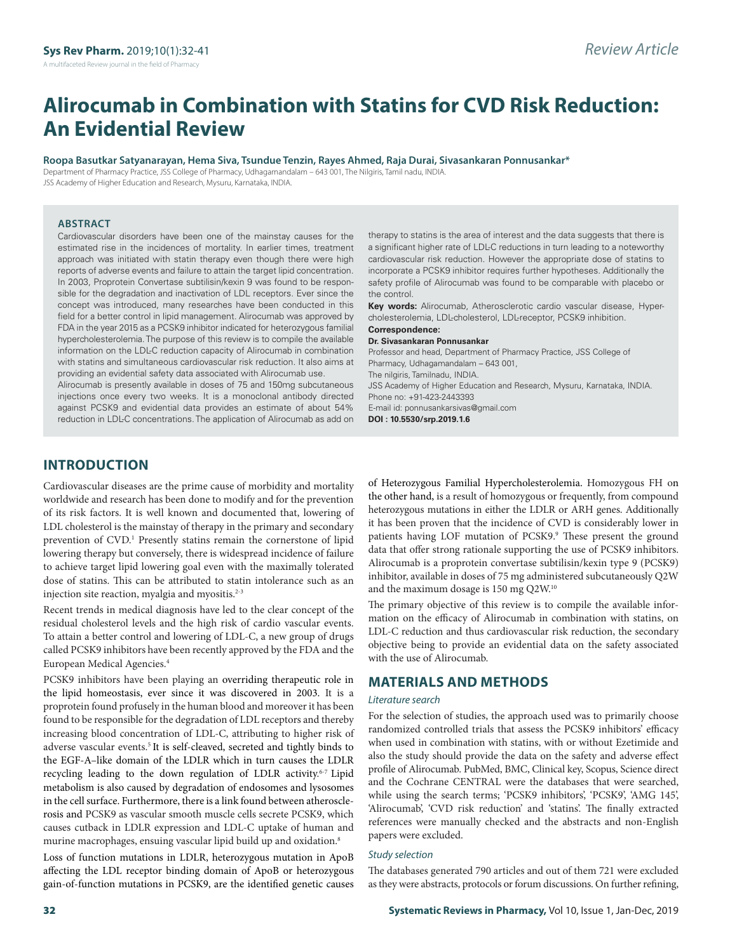# **Alirocumab in Combination with Statins for CVD Risk Reduction: An Evidential Review**

#### **Roopa Basutkar Satyanarayan, Hema Siva, Tsundue Tenzin, Rayes Ahmed, Raja Durai, Sivasankaran Ponnusankar\***

Department of Pharmacy Practice, JSS College of Pharmacy, Udhagamandalam – 643 001, The Nilgiris, Tamil nadu, INDIA.

JSS Academy of Higher Education and Research, Mysuru, Karnataka, INDIA.

#### **ABSTRACT**

Cardiovascular disorders have been one of the mainstay causes for the estimated rise in the incidences of mortality. In earlier times, treatment approach was initiated with statin therapy even though there were high reports of adverse events and failure to attain the target lipid concentration. In 2003, Proprotein Convertase subtilisin/kexin 9 was found to be responsible for the degradation and inactivation of LDL receptors. Ever since the concept was introduced, many researches have been conducted in this field for a better control in lipid management. Alirocumab was approved by FDA in the year 2015 as a PCSK9 inhibitor indicated for heterozygous familial hypercholesterolemia. The purpose of this review is to compile the available information on the LDL-C reduction capacity of Alirocumab in combination with statins and simultaneous cardiovascular risk reduction. It also aims at providing an evidential safety data associated with Alirocumab use.

Alirocumab is presently available in doses of 75 and 150mg subcutaneous injections once every two weeks. It is a monoclonal antibody directed against PCSK9 and evidential data provides an estimate of about 54% reduction in LDL-C concentrations. The application of Alirocumab as add on

therapy to statins is the area of interest and the data suggests that there is a significant higher rate of LDL-C reductions in turn leading to a noteworthy cardiovascular risk reduction. However the appropriate dose of statins to incorporate a PCSK9 inhibitor requires further hypotheses. Additionally the safety profile of Alirocumab was found to be comparable with placebo or the control.

**Key words:** Alirocumab, Atherosclerotic cardio vascular disease, Hypercholesterolemia, LDL-cholesterol, LDL-receptor, PCSK9 inhibition.

#### **Correspondence: Dr. Sivasankaran Ponnusankar**

Professor and head, Department of Pharmacy Practice, JSS College of Pharmacy, Udhagamandalam – 643 001, The nilgiris, Tamilnadu, INDIA. JSS Academy of Higher Education and Research, Mysuru, Karnataka, INDIA. Phone no: +91-423-2443393 E-mail id: ponnusankarsivas@gmail.com **DOI : 10.5530/srp.2019.1.6**

# **INTRODUCTION**

Cardiovascular diseases are the prime cause of morbidity and mortality worldwide and research has been done to modify and for the prevention of its risk factors. It is well known and documented that, lowering of LDL cholesterol is the mainstay of therapy in the primary and secondary prevention of CVD.<sup>1</sup> Presently statins remain the cornerstone of lipid lowering therapy but conversely, there is widespread incidence of failure to achieve target lipid lowering goal even with the maximally tolerated dose of statins. This can be attributed to statin intolerance such as an injection site reaction, myalgia and myositis.<sup>2-3</sup>

Recent trends in medical diagnosis have led to the clear concept of the residual cholesterol levels and the high risk of cardio vascular events. To attain a better control and lowering of LDL-C, a new group of drugs called PCSK9 inhibitors have been recently approved by the FDA and the European Medical Agencies.4

PCSK9 inhibitors have been playing an overriding therapeutic role in the lipid homeostasis, ever since it was discovered in 2003. It is a proprotein found profusely in the human blood and moreover it has been found to be responsible for the degradation of LDL receptors and thereby increasing blood concentration of LDL-C, attributing to higher risk of adverse vascular events.<sup>5</sup> It is self-cleaved, secreted and tightly binds to the EGF-A–like domain of the LDLR which in turn causes the LDLR recycling leading to the down regulation of LDLR activity.<sup>6-7</sup> Lipid metabolism is also caused by degradation of endosomes and lysosomes in the cell surface. Furthermore, there is a link found between atherosclerosis and PCSK9 as vascular smooth muscle cells secrete PCSK9, which causes cutback in LDLR expression and LDL-C uptake of human and murine macrophages, ensuing vascular lipid build up and oxidation.8

Loss of function mutations in LDLR, heterozygous mutation in ApoB affecting the LDL receptor binding domain of ApoB or heterozygous gain-of-function mutations in PCSK9, are the identified genetic causes of Heterozygous Familial Hypercholesterolemia. Homozygous FH on the other hand, is a result of homozygous or frequently, from compound heterozygous mutations in either the LDLR or ARH genes. Additionally it has been proven that the incidence of CVD is considerably lower in patients having LOF mutation of PCSK9.<sup>9</sup> These present the ground data that offer strong rationale supporting the use of PCSK9 inhibitors. Alirocumab is a proprotein convertase subtilisin/kexin type 9 (PCSK9) inhibitor, available in doses of 75 mg administered subcutaneously Q2W and the maximum dosage is 150 mg Q2W.10

The primary objective of this review is to compile the available information on the efficacy of Alirocumab in combination with statins, on LDL-C reduction and thus cardiovascular risk reduction, the secondary objective being to provide an evidential data on the safety associated with the use of Alirocumab.

## **MATERIALS AND METHODS**

#### *Literature search*

For the selection of studies, the approach used was to primarily choose randomized controlled trials that assess the PCSK9 inhibitors' efficacy when used in combination with statins, with or without Ezetimide and also the study should provide the data on the safety and adverse effect profile of Alirocumab. PubMed, BMC, Clinical key, Scopus, Science direct and the Cochrane CENTRAL were the databases that were searched, while using the search terms; 'PCSK9 inhibitors', 'PCSK9', 'AMG 145', 'Alirocumab', 'CVD risk reduction' and 'statins'. The finally extracted references were manually checked and the abstracts and non-English papers were excluded.

#### *Study selection*

The databases generated 790 articles and out of them 721 were excluded as they were abstracts, protocols or forum discussions. On further refining,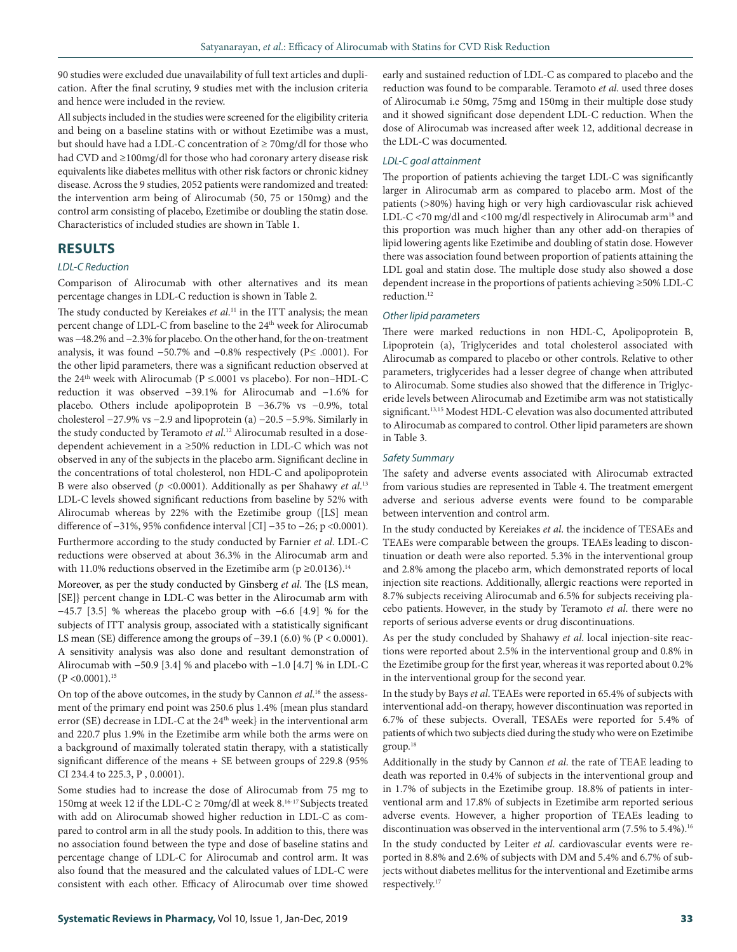90 studies were excluded due unavailability of full text articles and duplication. After the final scrutiny, 9 studies met with the inclusion criteria and hence were included in the review.

All subjects included in the studies were screened for the eligibility criteria and being on a baseline statins with or without Ezetimibe was a must, but should have had a LDL-C concentration of ≥ 70mg/dl for those who had CVD and ≥100mg/dl for those who had coronary artery disease risk equivalents like diabetes mellitus with other risk factors or chronic kidney disease. Across the 9 studies, 2052 patients were randomized and treated: the intervention arm being of Alirocumab (50, 75 or 150mg) and the control arm consisting of placebo, Ezetimibe or doubling the statin dose. Characteristics of included studies are shown in Table 1.

## **RESULTS**

#### *LDL-C Reduction*

Comparison of Alirocumab with other alternatives and its mean percentage changes in LDL-C reduction is shown in Table 2.

The study conducted by Kereiakes *et al*. 11 in the ITT analysis; the mean percent change of LDL-C from baseline to the 24<sup>th</sup> week for Alirocumab was −48.2% and −2.3% for placebo. On the other hand, for the on-treatment analysis, it was found −50.7% and −0.8% respectively (P≤ .0001). For the other lipid parameters, there was a significant reduction observed at the 24<sup>th</sup> week with Alirocumab ( $P \le 0.001$  vs placebo). For non-HDL-C reduction it was observed −39.1% for Alirocumab and −1.6% for placebo. Others include apolipoprotein B −36.7% vs −0.9%, total cholesterol −27.9% vs −2.9 and lipoprotein (a) −20.5 −5.9%. Similarly in the study conducted by Teramoto *et al*. 12 Alirocumab resulted in a dosedependent achievement in a ≥50% reduction in LDL-C which was not observed in any of the subjects in the placebo arm. Significant decline in the concentrations of total cholesterol, non HDL-C and apolipoprotein B were also observed (*p* <0.0001). Additionally as per Shahawy *et al*. 13 LDL-C levels showed significant reductions from baseline by 52% with Alirocumab whereas by 22% with the Ezetimibe group ([LS] mean difference of −31%, 95% confidence interval [CI] −35 to −26; p <0.0001). Furthermore according to the study conducted by Farnier *et al*. LDL-C reductions were observed at about 36.3% in the Alirocumab arm and with 11.0% reductions observed in the Ezetimibe arm ( $p \ge 0.0136$ ).<sup>14</sup>

Moreover, as per the study conducted by Ginsberg *et al*. The {LS mean, [SE]} percent change in LDL-C was better in the Alirocumab arm with −45.7 [3.5] % whereas the placebo group with −6.6 [4.9] % for the subjects of ITT analysis group, associated with a statistically significant LS mean (SE) difference among the groups of −39.1 (6.0) % (P < 0.0001). A sensitivity analysis was also done and resultant demonstration of Alirocumab with −50.9 [3.4] % and placebo with −1.0 [4.7] % in LDL-C  $(P < 0.0001).$ <sup>15</sup>

On top of the above outcomes, in the study by Cannon *et al*. 16 the assessment of the primary end point was 250.6 plus 1.4% {mean plus standard error (SE) decrease in LDL-C at the  $24<sup>th</sup>$  week} in the interventional arm and 220.7 plus 1.9% in the Ezetimibe arm while both the arms were on a background of maximally tolerated statin therapy, with a statistically significant difference of the means + SE between groups of 229.8 (95% CI 234.4 to 225.3, P , 0.0001).

Some studies had to increase the dose of Alirocumab from 75 mg to 150mg at week 12 if the LDL-C  $\geq$  70mg/dl at week 8.<sup>16-17</sup> Subjects treated with add on Alirocumab showed higher reduction in LDL-C as compared to control arm in all the study pools. In addition to this, there was no association found between the type and dose of baseline statins and percentage change of LDL-C for Alirocumab and control arm. It was also found that the measured and the calculated values of LDL-C were consistent with each other. Efficacy of Alirocumab over time showed

early and sustained reduction of LDL-C as compared to placebo and the reduction was found to be comparable. Teramoto *et al*. used three doses of Alirocumab i.e 50mg, 75mg and 150mg in their multiple dose study and it showed significant dose dependent LDL-C reduction. When the dose of Alirocumab was increased after week 12, additional decrease in the LDL-C was documented.

#### *LDL-C goal attainment*

The proportion of patients achieving the target LDL-C was significantly larger in Alirocumab arm as compared to placebo arm. Most of the patients (>80%) having high or very high cardiovascular risk achieved LDL-C <70 mg/dl and <100 mg/dl respectively in Alirocumab arm<sup>18</sup> and this proportion was much higher than any other add-on therapies of lipid lowering agents like Ezetimibe and doubling of statin dose. However there was association found between proportion of patients attaining the LDL goal and statin dose. The multiple dose study also showed a dose dependent increase in the proportions of patients achieving ≥50% LDL-C reduction.<sup>12</sup>

#### *Other lipid parameters*

There were marked reductions in non HDL-C, Apolipoprotein B, Lipoprotein (a), Triglycerides and total cholesterol associated with Alirocumab as compared to placebo or other controls. Relative to other parameters, triglycerides had a lesser degree of change when attributed to Alirocumab. Some studies also showed that the difference in Triglyceride levels between Alirocumab and Ezetimibe arm was not statistically significant.<sup>13,15</sup> Modest HDL-C elevation was also documented attributed to Alirocumab as compared to control. Other lipid parameters are shown in Table 3.

#### *Safety Summary*

The safety and adverse events associated with Alirocumab extracted from various studies are represented in Table 4. The treatment emergent adverse and serious adverse events were found to be comparable between intervention and control arm.

In the study conducted by Kereiakes *et al*. the incidence of TESAEs and TEAEs were comparable between the groups. TEAEs leading to discontinuation or death were also reported. 5.3% in the interventional group and 2.8% among the placebo arm, which demonstrated reports of local injection site reactions. Additionally, allergic reactions were reported in 8.7% subjects receiving Alirocumab and 6.5% for subjects receiving placebo patients. However, in the study by Teramoto *et al*. there were no reports of serious adverse events or drug discontinuations.

As per the study concluded by Shahawy *et al*. local injection-site reactions were reported about 2.5% in the interventional group and 0.8% in the Ezetimibe group for the first year, whereas it was reported about 0.2% in the interventional group for the second year.

In the study by Bays *et al*. TEAEs were reported in 65.4% of subjects with interventional add-on therapy, however discontinuation was reported in 6.7% of these subjects. Overall, TESAEs were reported for 5.4% of patients of which two subjects died during the study who were on Ezetimibe group.18

Additionally in the study by Cannon *et al*. the rate of TEAE leading to death was reported in 0.4% of subjects in the interventional group and in 1.7% of subjects in the Ezetimibe group. 18.8% of patients in interventional arm and 17.8% of subjects in Ezetimibe arm reported serious adverse events. However, a higher proportion of TEAEs leading to discontinuation was observed in the interventional arm  $(7.5\%$  to  $5.4\%).$ <sup>16</sup> In the study conducted by Leiter *et al*. cardiovascular events were reported in 8.8% and 2.6% of subjects with DM and 5.4% and 6.7% of subjects without diabetes mellitus for the interventional and Ezetimibe arms respectively.17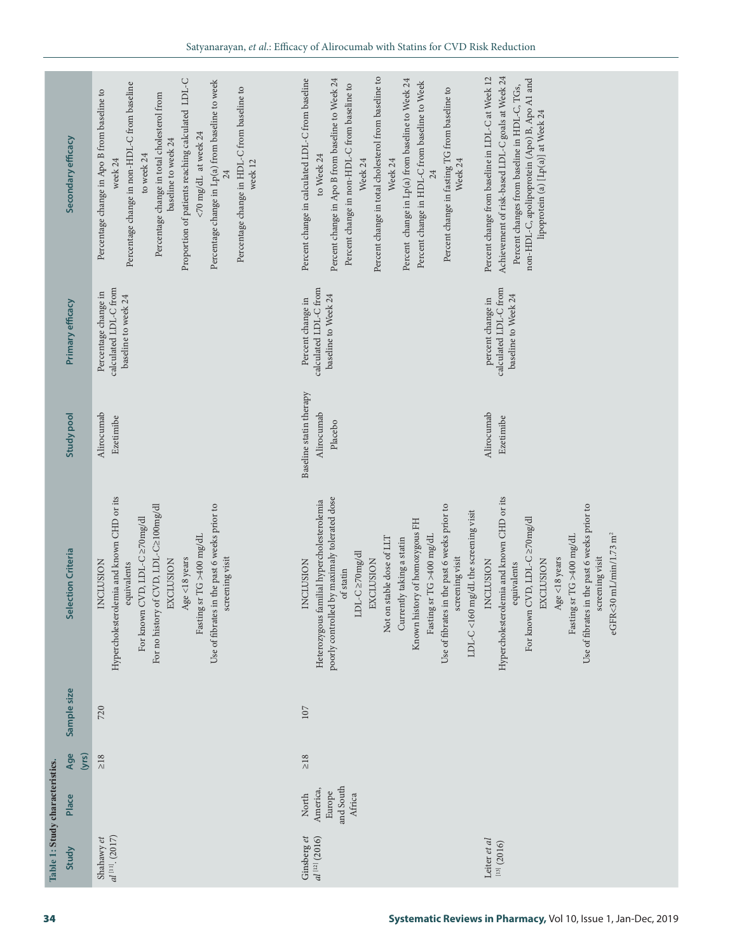| Selection Criteria<br>Sample size<br>Age<br>Table 1: Study characteristics.<br>Place | Hypercholesterolemia and known CHD or its<br>For no history of CVD, LDL-C2100mg/dl<br>Use of fibrates in the past 6 weeks prior to<br>For known CVD, LDL-C $\geq$ 70mg/dl<br>Fasting sr TG >400 mg/dL<br>screening visit<br>Age $<$ 18 years<br>EXCLUSION<br><b>INCLUSION</b><br>equivalents<br>720<br>(yrs)<br>$\geq 18$                                                            | poorly controlled by maximaly tolerated dose<br>Heterozygous familial hypercholesterolemia<br>Use of fibrates in the past 6 weeks prior to<br>LDL-C <160 mg/dL the screening visit<br>Known history of homozygous FH<br>Fasting sr TG $\times400$ mg/dL<br>Not on stable dose of LLT<br>Currently taking a statin<br>$LDL-C \ge 70mg/dl$<br>screening visit<br>EXCLUSION<br><b>INCLUSION</b><br>of statin<br>107<br>$\geq$ 18<br>and South<br>America,<br>Europe<br>Africa<br>North | Hypercholesterolemia and known CHD or its<br>Use of fibrates in the past 6 weeks prior to<br>For known CVD, LDL-C ≥70mg/dl<br>eGFR<30 mL/min/1.73 m <sup>2</sup><br>Fasting sr TG >400 mg/dL<br>screening visit<br>Age $<$ 18 years<br>EXCLUSION<br><b>INCLUSION</b><br>equivalents |
|--------------------------------------------------------------------------------------|--------------------------------------------------------------------------------------------------------------------------------------------------------------------------------------------------------------------------------------------------------------------------------------------------------------------------------------------------------------------------------------|-------------------------------------------------------------------------------------------------------------------------------------------------------------------------------------------------------------------------------------------------------------------------------------------------------------------------------------------------------------------------------------------------------------------------------------------------------------------------------------|-------------------------------------------------------------------------------------------------------------------------------------------------------------------------------------------------------------------------------------------------------------------------------------|
| <b>Study pool</b>                                                                    | Alirocumab<br>Ezetimibe                                                                                                                                                                                                                                                                                                                                                              | Baseline statin therapy<br>Alirocumab<br>Placebo                                                                                                                                                                                                                                                                                                                                                                                                                                    | Alirocumab<br>Ezetimibe                                                                                                                                                                                                                                                             |
| Primary efficacy                                                                     | calculated LDL-C from<br>Percentage change in<br>baseline to week 24                                                                                                                                                                                                                                                                                                                 | calculated LDL-C from<br>baseline to Week 24<br>Percent change in                                                                                                                                                                                                                                                                                                                                                                                                                   | calculated LDL-C from<br>baseline to Week 24<br>percent change in                                                                                                                                                                                                                   |
| Secondary efficacy                                                                   | Proportion of patients reaching calculated LDL-C<br>Percentage change in Lp(a) from baseline to week<br>Percentage change in non-HDL-C from baseline<br>Percentage change in HDL-C from baseline to<br>Percentage change in Apo B from baseline to<br>Percentage change in total cholesterol from<br><70 mg/dL at week 24<br>baseline to week 24<br>to week 24<br>week 24<br>week 12 | Percent change in total cholesterol from baseline to<br>Percent change in calculated LDL-C from baseline<br>Percent change in Apo B from baseline to Week 24<br>Percent change in Lp(a) from baseline to Week 24<br>Percent change in HDL-C from baseline to Week<br>Percent change in non-HDL-C from baseline to<br>Percent change in fasting TG from baseline to<br>to Week 24<br>Week 24<br>Week 24<br>Week 24<br>24                                                             | Achievement of risk-based LDL-C goals at Week 24<br>Percent change from baseline in LDL-C at Week 12<br>non-HDL-C, apolipoprotein (Apo) B, Apo A1 and<br>Percent changes from baseline in HDL-C, TGs,<br>lipoprotein (a) [Lp(a)] at Week 24                                         |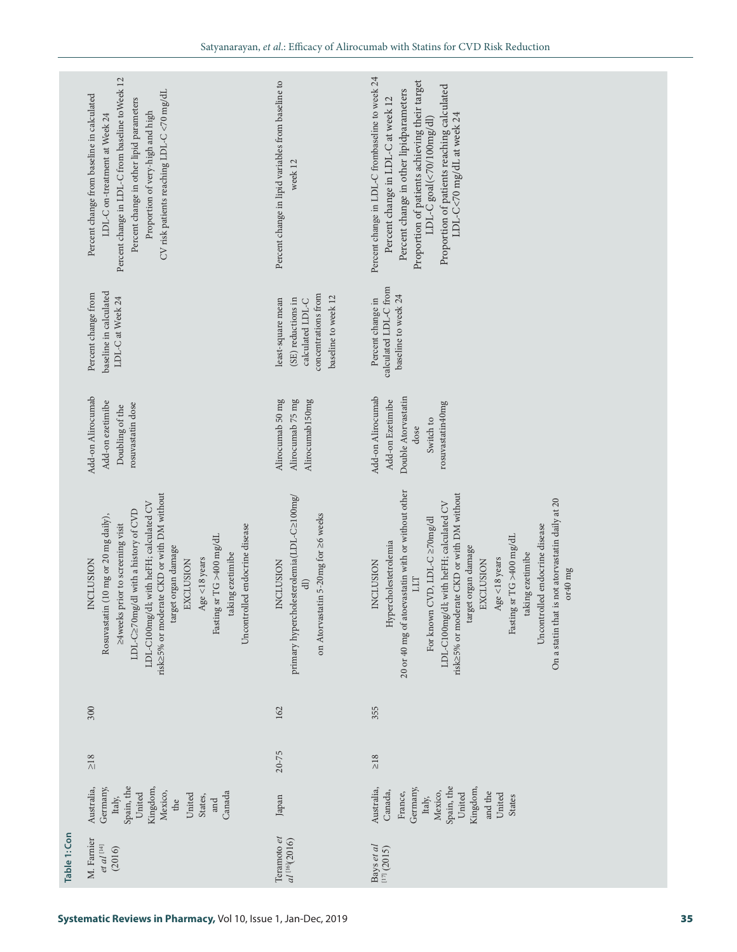|              | Percent change in LDL-C from baseline to Week 12<br>CV risk patients reaching LDL-C <70 mg/dL<br>Percent change from baseline in calculated<br>Percent change in other lipid parameters<br>Proportion of very-high and high<br>LDL-C on-treatment at Week 24 | Percent change in lipid variables from baseline to<br>week 12                                                    | Percent change in LDL-C frombaseline to week 24<br>Proportion of patients achieving their target<br>Proportion of patients reaching calculated<br>Percent change in other lipidparameters<br>Percent change in LDL-C at week 12<br>LDL-C<70 mg/dL at week 24<br>LDL-C goal(<70/100mg/dl) |  |
|--------------|--------------------------------------------------------------------------------------------------------------------------------------------------------------------------------------------------------------------------------------------------------------|------------------------------------------------------------------------------------------------------------------|------------------------------------------------------------------------------------------------------------------------------------------------------------------------------------------------------------------------------------------------------------------------------------------|--|
|              | baseline in calculated<br>Percent change from<br>LDL-C at Week 24                                                                                                                                                                                            | concentrations from<br>baseline to week 12<br>least-square mean<br>calculated LDL-C<br>(SE) reductions in        | calculated LDL-C from<br>baseline to week 24<br>Percent change in                                                                                                                                                                                                                        |  |
|              | Add-on Alirocumab<br>Add-on ezetimibe<br>rosuvastatin dose<br>Doubling of the                                                                                                                                                                                | Alirocumab 50 mg<br>Alirocumab 75 mg<br>Alirocumab <sub>150mg</sub>                                              | Add-on Alirocumab<br>Double Atorvastatin<br>Add-on Ezetimibe<br>rosuvastatin40mg<br>Switch to<br>dose                                                                                                                                                                                    |  |
|              | risk<br>>5% or moderate CKD or with DM without<br>LDL-C100mg/dl; with heFH; calculated CV<br>LDL-C≥70mg/dl with a history of CVD<br>                                                                                                                         | primary hypercholesterolemia(LDL-C≥100mg/<br>on Atorvastatin 5-20mg for ≥6 weeks<br><b>INCLUSION</b><br>$\oplus$ | 20 or 40 mg of atoevastatin with or without other<br>risk<br>>5% or moderate CKD or with DM without<br>On a statin that is not atorvastatin daily at 20<br>LDL-C100mg/dl; with heFH; calculated CV<br>                                                                                   |  |
|              | 300                                                                                                                                                                                                                                                          | 162                                                                                                              | 355                                                                                                                                                                                                                                                                                      |  |
|              | $\geq18$                                                                                                                                                                                                                                                     | $20 - 75$                                                                                                        | $\geq18$                                                                                                                                                                                                                                                                                 |  |
|              | Kingdom,<br>Spain, the<br>Australia,<br>Germany,<br>Mexico,<br>United<br>Canada<br>United<br>States,<br>Italy,<br>and<br>the                                                                                                                                 | Japan                                                                                                            | Spain, the<br>Kingdom,<br>Australia,<br>Germany,<br>Canada,<br>Mexico,<br>and the<br>France,<br>United<br>United<br><b>States</b><br>Italy,                                                                                                                                              |  |
| Table 1: Con | M. Farnier<br>$et \; al$ [14]<br>(2016)                                                                                                                                                                                                                      | Teramoto et<br>$al$ <sup>[16]</sup> (2016)                                                                       | Bays et al<br>[17] (2015)                                                                                                                                                                                                                                                                |  |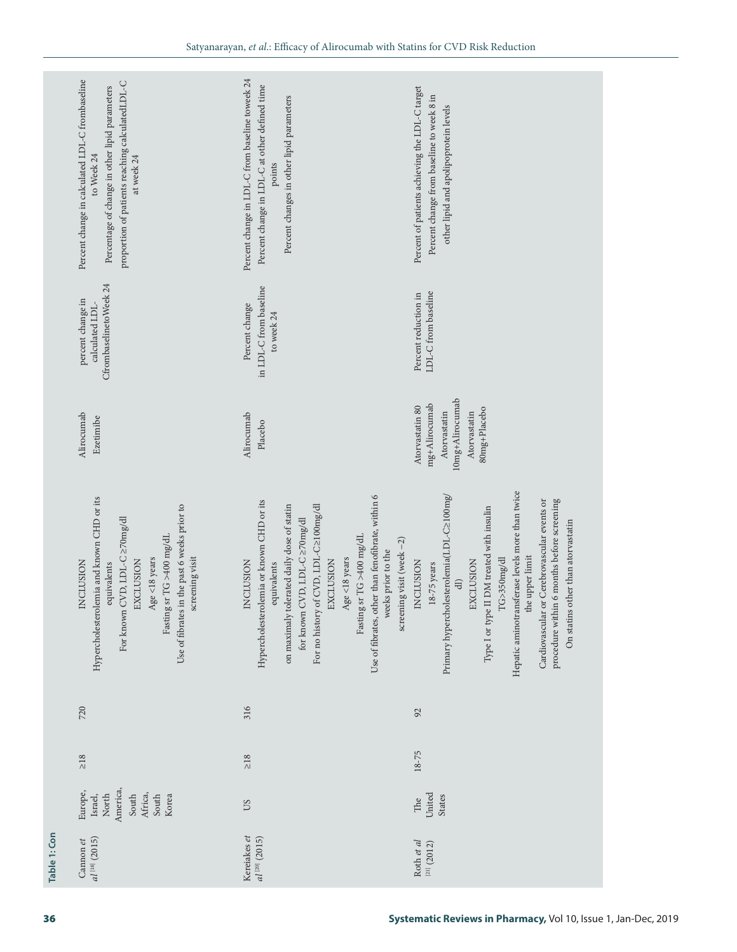|              | Percent change in calculated LDL-C frombaseline<br>proportion of patients reaching calculatedLDL-C<br>Percentage of change in other lipid parameters<br>to Week 24<br>at week 24                                                   | Percent change in LDL-C from baseline toweek 24<br>Percent change in LDL-C at other defined time<br>Percent changes in other lipid parameters<br>points                                                                                                                                                                                                                  | Percent of patients achieving the LDL-C target<br>Percent change from baseline to week 8 in<br>other lipid and apolipoprotein levels                                                                                                                                                                                                                                               |
|--------------|------------------------------------------------------------------------------------------------------------------------------------------------------------------------------------------------------------------------------------|--------------------------------------------------------------------------------------------------------------------------------------------------------------------------------------------------------------------------------------------------------------------------------------------------------------------------------------------------------------------------|------------------------------------------------------------------------------------------------------------------------------------------------------------------------------------------------------------------------------------------------------------------------------------------------------------------------------------------------------------------------------------|
|              | CfrombaselinetoWeek 24<br>percent change in<br>calculated LDL-                                                                                                                                                                     | in LDL-C from baseline<br>Percent change<br>to week 24                                                                                                                                                                                                                                                                                                                   | LDL-C from baseline<br>Percent reduction in                                                                                                                                                                                                                                                                                                                                        |
|              | Alirocumab<br>Ezetimibe                                                                                                                                                                                                            | Alirocumab<br>Placebo                                                                                                                                                                                                                                                                                                                                                    | 10mg+Alirocumab<br>mg+Alirocumab<br>Atorvastatin 80<br>80mg+Placebo<br>Atorvastatin<br>Atorvastatin                                                                                                                                                                                                                                                                                |
|              | Hypercholesterolemia and known CHD or its<br>Use of fibrates in the past 6 weeks prior to<br>For known CVD, LDL-C ≥70mg/dl<br>Fasting sr TG >400 mg/dL<br>screening visit<br>Age <18 years<br>NCLUSION<br>EXCLUSION<br>equivalents | Use of fibrates, other than fenofibrate, within 6<br>Hypercholesterolemia or known CHD or its<br>on maximaly tolerated daily dose of statin<br>For no history of CVD, LDL-C2100mg/dl<br>for known CVD, LDL-C ≥70mg/dl<br>Fasting sr TG >400 mg/dL<br>screening visit (week $-2$ )<br>weeks prior to the<br>Age <18 years<br>EXCLUSION<br><b>INCLUSION</b><br>equivalents | Hepatic aminotransferase levels more than twice<br>Primary hypercholesterolemia(LDL-C2100mg/<br>Cardiovascular or Cerebrovascular events or<br>procedure within 6 months before screening<br>Type I or type II DM treated with insulin<br>On statins other than atorvastatin<br>the upper limit<br>TG>350mg/dl<br>EXCLUSION<br>NCLUSION<br>$18-75$ years<br>$\widehat{\mathrm{d}}$ |
|              | 720                                                                                                                                                                                                                                | 316                                                                                                                                                                                                                                                                                                                                                                      | 92                                                                                                                                                                                                                                                                                                                                                                                 |
|              | $\geq 18$                                                                                                                                                                                                                          | $\geq18$                                                                                                                                                                                                                                                                                                                                                                 | $18 - 75$                                                                                                                                                                                                                                                                                                                                                                          |
|              | America,<br>Europe,<br>North<br>South<br>Africa,<br>Israel,<br>South<br>Korea                                                                                                                                                      | <b>CO</b>                                                                                                                                                                                                                                                                                                                                                                | United<br>States<br>The                                                                                                                                                                                                                                                                                                                                                            |
| Table 1: Con | al <sup>[18]</sup> (2015)<br>Cannon et                                                                                                                                                                                             | Kereiakes et<br>$al^{[20]}(2015)$                                                                                                                                                                                                                                                                                                                                        | Roth et al<br>$^{[21]}(2012)$                                                                                                                                                                                                                                                                                                                                                      |
| 36           |                                                                                                                                                                                                                                    |                                                                                                                                                                                                                                                                                                                                                                          | Systematic Reviews in Pharmacy, Vol 10, Issue 1, Jan-Dec, 2019                                                                                                                                                                                                                                                                                                                     |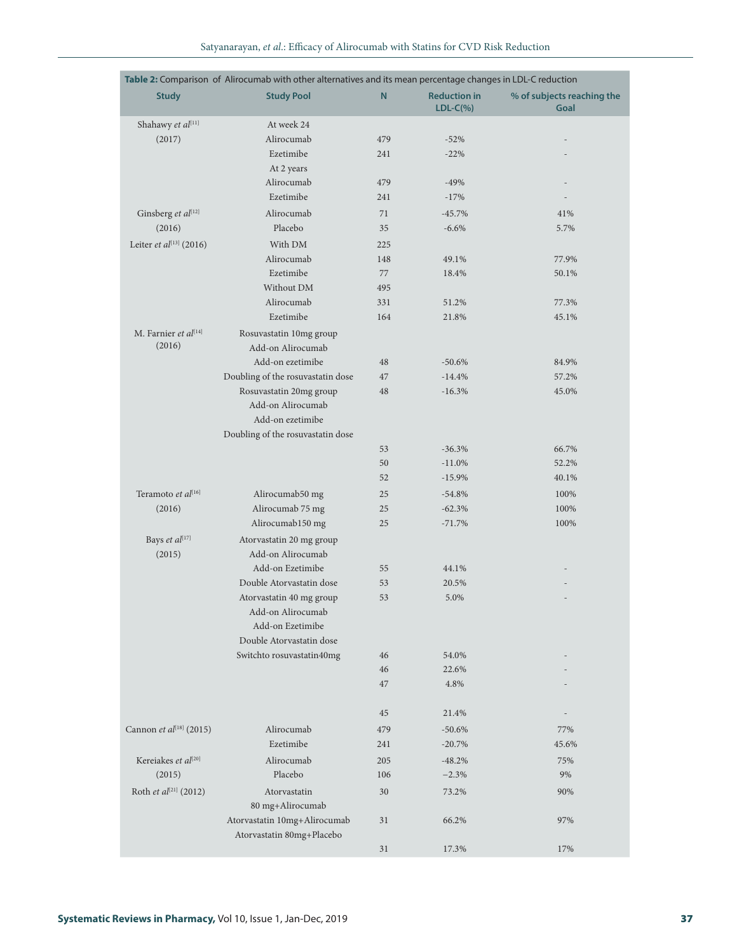|  |  |  |  | Satvanaravan, <i>et al.</i> : Efficacy of Alirocumab with Statins for CVD Risk Reduction |  |  |  |  |  |  |
|--|--|--|--|------------------------------------------------------------------------------------------|--|--|--|--|--|--|
|--|--|--|--|------------------------------------------------------------------------------------------|--|--|--|--|--|--|

|                                     | Table 2: Comparison of Alirocumab with other alternatives and its mean percentage changes in LDL-C reduction |           |                                    |                                    |
|-------------------------------------|--------------------------------------------------------------------------------------------------------------|-----------|------------------------------------|------------------------------------|
| <b>Study</b>                        | <b>Study Pool</b>                                                                                            | ${\sf N}$ | <b>Reduction in</b><br>$LDL-C(\%)$ | % of subjects reaching the<br>Goal |
| Shahawy et al[11]                   | At week 24                                                                                                   |           |                                    |                                    |
| (2017)                              | Alirocumab                                                                                                   | 479       | $-52%$                             |                                    |
|                                     | Ezetimibe                                                                                                    | 241       | $-22%$                             |                                    |
|                                     | At 2 years                                                                                                   |           |                                    |                                    |
|                                     | Alirocumab                                                                                                   | 479       | $-49%$                             |                                    |
|                                     | Ezetimibe                                                                                                    | 241       | $-17%$                             |                                    |
| Ginsberg et al[12]                  | Alirocumab                                                                                                   | 71        | $-45.7%$                           | 41%                                |
| (2016)                              | Placebo                                                                                                      | 35        | $-6.6%$                            | 5.7%                               |
| Leiter et al $^{[13]}$ (2016)       | With DM                                                                                                      | 225       |                                    |                                    |
|                                     | Alirocumab                                                                                                   | 148       | 49.1%                              | 77.9%                              |
|                                     | Ezetimibe                                                                                                    | 77        | 18.4%                              | 50.1%                              |
|                                     | Without DM                                                                                                   | 495       |                                    |                                    |
|                                     | Alirocumab                                                                                                   | 331       | 51.2%                              | 77.3%                              |
|                                     | Ezetimibe                                                                                                    | 164       | 21.8%                              | 45.1%                              |
| M. Farnier et al[14]                | Rosuvastatin 10mg group                                                                                      |           |                                    |                                    |
| (2016)                              | Add-on Alirocumab                                                                                            |           |                                    |                                    |
|                                     | Add-on ezetimibe                                                                                             | 48        | $-50.6%$                           | 84.9%                              |
|                                     | Doubling of the rosuvastatin dose                                                                            | 47        | $-14.4%$                           | 57.2%                              |
|                                     | Rosuvastatin 20mg group                                                                                      | 48        | $-16.3%$                           | 45.0%                              |
|                                     | Add-on Alirocumab                                                                                            |           |                                    |                                    |
|                                     | Add-on ezetimibe                                                                                             |           |                                    |                                    |
|                                     | Doubling of the rosuvastatin dose                                                                            |           |                                    |                                    |
|                                     |                                                                                                              | 53        | $-36.3%$                           | 66.7%                              |
|                                     |                                                                                                              | 50        | $-11.0%$                           | 52.2%                              |
|                                     |                                                                                                              | 52        | $-15.9%$                           | 40.1%                              |
| Teramoto et al[16]                  | Alirocumab50 mg                                                                                              | 25        | $-54.8%$                           | 100%                               |
| (2016)                              | Alirocumab 75 mg                                                                                             | 25        | $-62.3%$                           | 100%                               |
|                                     | Alirocumab150 mg                                                                                             | 25        | $-71.7%$                           | 100%                               |
| Bays et al[17]                      | Atorvastatin 20 mg group                                                                                     |           |                                    |                                    |
| (2015)                              | Add-on Alirocumab                                                                                            |           |                                    |                                    |
|                                     | Add-on Ezetimibe                                                                                             | 55        | 44.1%                              |                                    |
|                                     | Double Atorvastatin dose                                                                                     | 53        | 20.5%                              |                                    |
|                                     | Atorvastatin 40 mg group<br>Add-on Alirocumab                                                                | 53        | 5.0%                               |                                    |
|                                     | Add-on Ezetimibe                                                                                             |           |                                    |                                    |
|                                     | Double Atorvastatin dose                                                                                     |           |                                    |                                    |
|                                     | Switchto rosuvastatin40mg                                                                                    | 46        | 54.0%                              |                                    |
|                                     |                                                                                                              | 46        | 22.6%                              |                                    |
|                                     |                                                                                                              | 47        | 4.8%                               |                                    |
|                                     |                                                                                                              |           |                                    |                                    |
|                                     |                                                                                                              | 45        | 21.4%                              |                                    |
| Cannon et al <sup>[18]</sup> (2015) | Alirocumab                                                                                                   | 479       | $-50.6%$                           | 77%                                |
|                                     | Ezetimibe                                                                                                    | 241       | $-20.7%$                           | 45.6%                              |
| Kereiakes et al <sup>[20]</sup>     | Alirocumab                                                                                                   | 205       | $-48.2%$                           | 75%                                |
| (2015)                              | Placebo                                                                                                      | 106       | $-2.3%$                            | 9%                                 |
| Roth et al[21] (2012)               | Atorvastatin                                                                                                 | 30        | 73.2%                              | 90%                                |
|                                     | 80 mg+Alirocumab                                                                                             |           |                                    |                                    |
|                                     | Atorvastatin 10mg+Alirocumab<br>Atorvastatin 80mg+Placebo                                                    | 31        | 66.2%                              | 97%                                |
|                                     |                                                                                                              | 31        | 17.3%                              | 17%                                |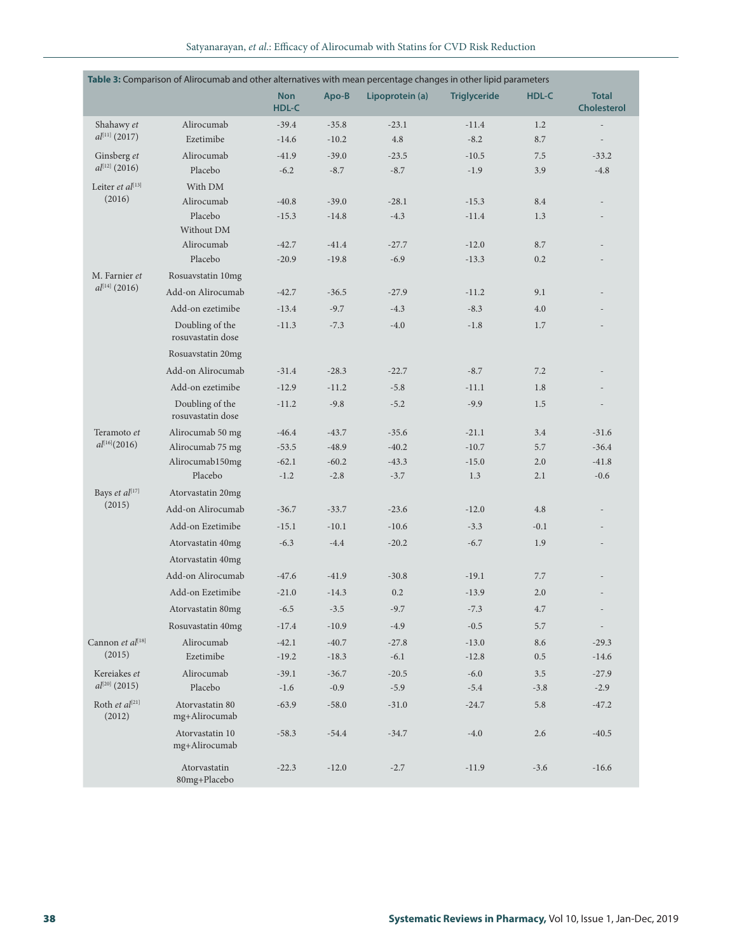| Satvanaravan, <i>et al.</i> : Efficacy of Alirocumab with Statins for CVD Risk Reduction |  |
|------------------------------------------------------------------------------------------|--|
|------------------------------------------------------------------------------------------|--|

|                                     | Table 3: Comparison of Alirocumab and other alternatives with mean percentage changes in other lipid parameters |                     |         |                 |                     |         |                                    |
|-------------------------------------|-----------------------------------------------------------------------------------------------------------------|---------------------|---------|-----------------|---------------------|---------|------------------------------------|
|                                     |                                                                                                                 | <b>Non</b><br>HDL-C | Apo-B   | Lipoprotein (a) | <b>Triglyceride</b> | HDL-C   | <b>Total</b><br><b>Cholesterol</b> |
| Shahawy et                          | Alirocumab                                                                                                      | $-39.4$             | $-35.8$ | $-23.1$         | $-11.4$             | 1.2     | $\overline{\phantom{a}}$           |
| $al^{[11]}(2017)$                   | Ezetimibe                                                                                                       | $-14.6$             | $-10.2$ | 4.8             | $-8.2$              | 8.7     | $\overline{\phantom{a}}$           |
| Ginsberg et                         | Alirocumab                                                                                                      | $-41.9$             | $-39.0$ | $-23.5$         | $-10.5$             | 7.5     | $-33.2$                            |
| $al^{[12]}$ (2016)                  | Placebo                                                                                                         | $-6.2$              | $-8.7$  | $-8.7$          | $-1.9$              | 3.9     | $-4.8$                             |
| Leiter et $al^{[13]}$               | With DM                                                                                                         |                     |         |                 |                     |         |                                    |
| (2016)                              | Alirocumab                                                                                                      | $-40.8$             | $-39.0$ | $-28.1$         | $-15.3$             | 8.4     |                                    |
|                                     | Placebo                                                                                                         | $-15.3$             | $-14.8$ | $-4.3$          | $-11.4$             | 1.3     |                                    |
|                                     | Without DM                                                                                                      |                     |         |                 |                     |         |                                    |
|                                     | Alirocumab                                                                                                      | $-42.7$             | $-41.4$ | $-27.7$         | $-12.0$             | 8.7     |                                    |
|                                     | Placebo                                                                                                         | $-20.9$             | $-19.8$ | $-6.9$          | $-13.3$             | 0.2     |                                    |
| M. Farnier et<br>$al^{[14]}$ (2016) | Rosuavstatin 10mg                                                                                               |                     |         |                 |                     |         |                                    |
|                                     | Add-on Alirocumab                                                                                               | $-42.7$             | $-36.5$ | $-27.9$         | $-11.2$             | 9.1     |                                    |
|                                     | Add-on ezetimibe                                                                                                | $-13.4$             | $-9.7$  | $-4.3$          | $-8.3$              | 4.0     |                                    |
|                                     | Doubling of the<br>rosuvastatin dose                                                                            | $-11.3$             | $-7.3$  | $-4.0$          | $-1.8$              | 1.7     |                                    |
|                                     | Rosuavstatin 20mg                                                                                               |                     |         |                 |                     |         |                                    |
|                                     | Add-on Alirocumab                                                                                               | $-31.4$             | $-28.3$ | $-22.7$         | $-8.7$              | 7.2     |                                    |
|                                     | Add-on ezetimibe                                                                                                | $-12.9$             | $-11.2$ | $-5.8$          | $-11.1$             | 1.8     |                                    |
|                                     | Doubling of the<br>rosuvastatin dose                                                                            | $-11.2$             | $-9.8$  | $-5.2$          | $-9.9$              | 1.5     | $\overline{a}$                     |
| Teramoto et                         | Alirocumab 50 mg                                                                                                | $-46.4$             | $-43.7$ | $-35.6$         | $-21.1$             | 3.4     | $-31.6$                            |
| $al^{[16]}(2016)$                   | Alirocumab 75 mg                                                                                                | $-53.5$             | $-48.9$ | $-40.2$         | $-10.7$             | 5.7     | $-36.4$                            |
|                                     | Alirocumab150mg                                                                                                 | $-62.1$             | $-60.2$ | $-43.3$         | $-15.0$             | 2.0     | $-41.8$                            |
|                                     | Placebo                                                                                                         | $-1.2$              | $-2.8$  | $-3.7$          | 1.3                 | 2.1     | $-0.6$                             |
| Bays et al[17]                      | Atorvastatin 20mg                                                                                               |                     |         |                 |                     |         |                                    |
| (2015)                              | Add-on Alirocumab                                                                                               | $-36.7$             | $-33.7$ | $-23.6$         | $-12.0$             | 4.8     |                                    |
|                                     | Add-on Ezetimibe                                                                                                | $-15.1$             | $-10.1$ | $-10.6$         | $-3.3$              | $-0.1$  |                                    |
|                                     | Atorvastatin 40mg                                                                                               | $-6.3$              | $-4.4$  | $-20.2$         | $-6.7$              | 1.9     | $\overline{a}$                     |
|                                     | Atorvastatin 40mg                                                                                               |                     |         |                 |                     |         |                                    |
|                                     | Add-on Alirocumab                                                                                               | $-47.6$             | $-41.9$ | $-30.8$         | $-19.1$             | 7.7     |                                    |
|                                     | Add-on Ezetimibe                                                                                                | $-21.0$             | $-14.3$ | 0.2             | $-13.9$             | 2.0     |                                    |
|                                     | Atorvastatin 80mg                                                                                               | $-6.5$              | $-3.5$  | $-9.7$          | $-7.3$              | 4.7     | $\overline{\phantom{a}}$           |
|                                     | Rosuvastatin 40mg                                                                                               | $-17.4$             | $-10.9$ | $-4.9$          | $-0.5$              | 5.7     | $\overline{\phantom{a}}$           |
| Cannon et al[18]                    | Alirocumab                                                                                                      | $-42.1$             | $-40.7$ | $-27.8$         | $-13.0$             | 8.6     | $-29.3$                            |
| (2015)                              | Ezetimibe                                                                                                       | $-19.2$             | $-18.3$ | $-6.1$          | $-12.8$             | $0.5\,$ | $-14.6$                            |
| Kereiakes et                        | Alirocumab                                                                                                      | $-39.1$             | $-36.7$ | $-20.5$         | $-6.0$              | $3.5\,$ | $-27.9$                            |
| $al^{[20]}$ (2015)                  | Placebo                                                                                                         | $-1.6$              | $-0.9$  | $-5.9$          | $-5.4$              | $-3.8$  | $-2.9$                             |
| Roth et al[21]<br>(2012)            | Atorvastatin 80<br>mg+Alirocumab                                                                                | $-63.9$             | $-58.0$ | $-31.0$         | $-24.7$             | 5.8     | $-47.2$                            |
|                                     | Atorvastatin 10<br>mg+Alirocumab                                                                                | $-58.3$             | $-54.4$ | $-34.7$         | $-4.0$              | $2.6\,$ | $-40.5$                            |
|                                     | Atorvastatin<br>80mg+Placebo                                                                                    | $-22.3$             | $-12.0$ | $-2.7$          | $-11.9$             | $-3.6$  | $-16.6$                            |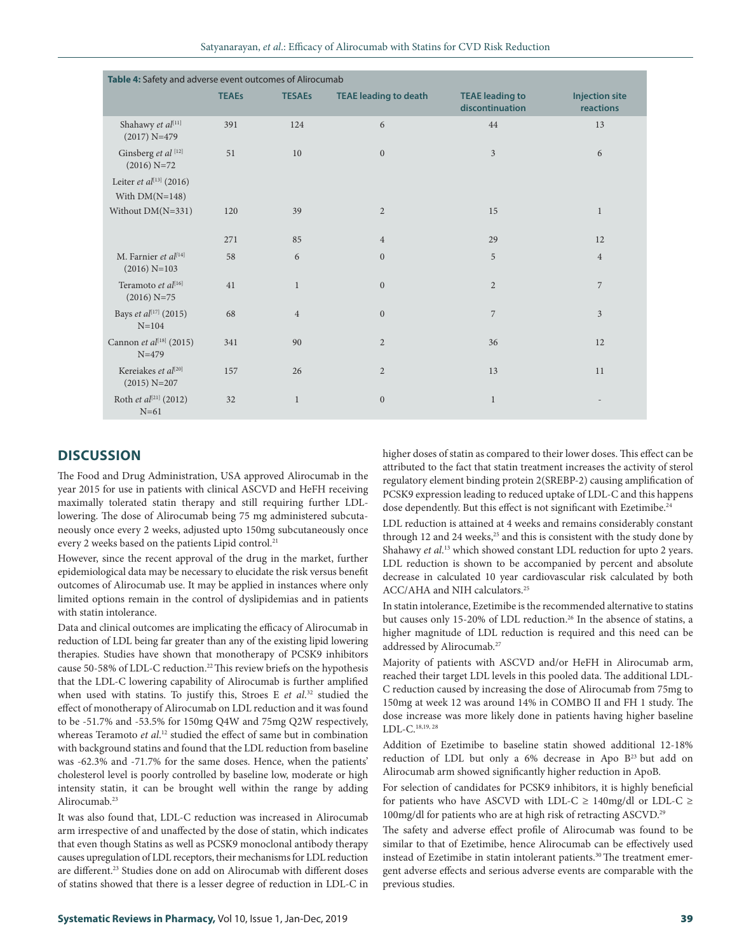| Satvanaravan, <i>et al.</i> : Efficacy of Alirocumab with Statins for CVD Risk Reduction |  |  |
|------------------------------------------------------------------------------------------|--|--|
|------------------------------------------------------------------------------------------|--|--|

| Table 4: Safety and adverse event outcomes of Alirocumab |              |                |                              |                                           |                                    |  |  |  |
|----------------------------------------------------------|--------------|----------------|------------------------------|-------------------------------------------|------------------------------------|--|--|--|
|                                                          | <b>TEAEs</b> | <b>TESAEs</b>  | <b>TEAE leading to death</b> | <b>TEAE leading to</b><br>discontinuation | <b>Injection site</b><br>reactions |  |  |  |
| Shahawy et al[11]<br>$(2017) N=479$                      | 391          | 124            | 6                            | 44                                        | 13                                 |  |  |  |
| Ginsberg et al [12]<br>$(2016)$ N=72                     | 51           | 10             | $\mathbf{0}$                 | $\overline{3}$                            | $\boldsymbol{6}$                   |  |  |  |
| Leiter et al $^{[13]}$ (2016)<br>With $DM(N=148)$        |              |                |                              |                                           |                                    |  |  |  |
| Without $DM(N=331)$                                      | 120          | 39             | $\overline{2}$               | 15                                        | $\mathbf{1}$                       |  |  |  |
|                                                          | 271          | 85             | $\overline{4}$               | 29                                        | 12                                 |  |  |  |
| M. Farnier et al[14]<br>$(2016)$ N=103                   | 58           | 6              | $\boldsymbol{0}$             | 5                                         | $\overline{4}$                     |  |  |  |
| Teramoto et al[16]<br>$(2016)$ N=75                      | 41           | $\mathbf{1}$   | $\boldsymbol{0}$             | $\overline{2}$                            | $\overline{7}$                     |  |  |  |
| Bays et al <sup>[17]</sup> (2015)<br>$N = 104$           | 68           | $\overline{4}$ | $\overline{0}$               | $\overline{7}$                            | 3                                  |  |  |  |
| Cannon et al <sup>[18]</sup> (2015)<br>$N = 479$         | 341          | 90             | $\overline{2}$               | 36                                        | 12                                 |  |  |  |
| Kereiakes et al <sup>[20]</sup><br>$(2015) N=207$        | 157          | 26             | $\overline{2}$               | 13                                        | 11                                 |  |  |  |
| Roth et $al^{[21]}$ (2012)<br>$N=61$                     | 32           | $\mathbf{1}$   | $\boldsymbol{0}$             | $\mathbf{1}$                              |                                    |  |  |  |

# **DISCUSSION**

The Food and Drug Administration, USA approved Alirocumab in the year 2015 for use in patients with clinical ASCVD and HeFH receiving maximally tolerated statin therapy and still requiring further LDLlowering. The dose of Alirocumab being 75 mg administered subcutaneously once every 2 weeks, adjusted upto 150mg subcutaneously once every 2 weeks based on the patients Lipid control.<sup>21</sup>

However, since the recent approval of the drug in the market, further epidemiological data may be necessary to elucidate the risk versus benefit outcomes of Alirocumab use. It may be applied in instances where only limited options remain in the control of dyslipidemias and in patients with statin intolerance.

Data and clinical outcomes are implicating the efficacy of Alirocumab in reduction of LDL being far greater than any of the existing lipid lowering therapies. Studies have shown that monotherapy of PCSK9 inhibitors cause 50-58% of LDL-C reduction.<sup>22</sup> This review briefs on the hypothesis that the LDL-C lowering capability of Alirocumab is further amplified when used with statins. To justify this, Stroes E *et al*. 32 studied the effect of monotherapy of Alirocumab on LDL reduction and it was found to be -51.7% and -53.5% for 150mg Q4W and 75mg Q2W respectively, whereas Teramoto *et al*. 12 studied the effect of same but in combination with background statins and found that the LDL reduction from baseline was -62.3% and -71.7% for the same doses. Hence, when the patients' cholesterol level is poorly controlled by baseline low, moderate or high intensity statin, it can be brought well within the range by adding Alirocumab.<sup>23</sup>

It was also found that, LDL-C reduction was increased in Alirocumab arm irrespective of and unaffected by the dose of statin, which indicates that even though Statins as well as PCSK9 monoclonal antibody therapy causes upregulation of LDL receptors, their mechanisms for LDL reduction are different.<sup>23</sup> Studies done on add on Alirocumab with different doses of statins showed that there is a lesser degree of reduction in LDL-C in higher doses of statin as compared to their lower doses. This effect can be attributed to the fact that statin treatment increases the activity of sterol regulatory element binding protein 2(SREBP-2) causing amplification of PCSK9 expression leading to reduced uptake of LDL-C and this happens dose dependently. But this effect is not significant with Ezetimibe.<sup>24</sup>

LDL reduction is attained at 4 weeks and remains considerably constant through 12 and 24 weeks, $25$  and this is consistent with the study done by Shahawy *et al*. 13 which showed constant LDL reduction for upto 2 years. LDL reduction is shown to be accompanied by percent and absolute decrease in calculated 10 year cardiovascular risk calculated by both ACC/AHA and NIH calculators.25

In statin intolerance, Ezetimibe is the recommended alternative to statins but causes only 15-20% of LDL reduction.<sup>26</sup> In the absence of statins, a higher magnitude of LDL reduction is required and this need can be addressed by Alirocumab.27

Majority of patients with ASCVD and/or HeFH in Alirocumab arm, reached their target LDL levels in this pooled data. The additional LDL-C reduction caused by increasing the dose of Alirocumab from 75mg to 150mg at week 12 was around 14% in COMBO II and FH 1 study. The dose increase was more likely done in patients having higher baseline LDL-C.18,19, 28

Addition of Ezetimibe to baseline statin showed additional 12-18% reduction of LDL but only a 6% decrease in Apo B<sup>23</sup> but add on Alirocumab arm showed significantly higher reduction in ApoB.

For selection of candidates for PCSK9 inhibitors, it is highly beneficial for patients who have ASCVD with LDL-C  $\geq$  140mg/dl or LDL-C  $\geq$ 100mg/dl for patients who are at high risk of retracting ASCVD.29

The safety and adverse effect profile of Alirocumab was found to be similar to that of Ezetimibe, hence Alirocumab can be effectively used instead of Ezetimibe in statin intolerant patients.<sup>30</sup> The treatment emergent adverse effects and serious adverse events are comparable with the previous studies.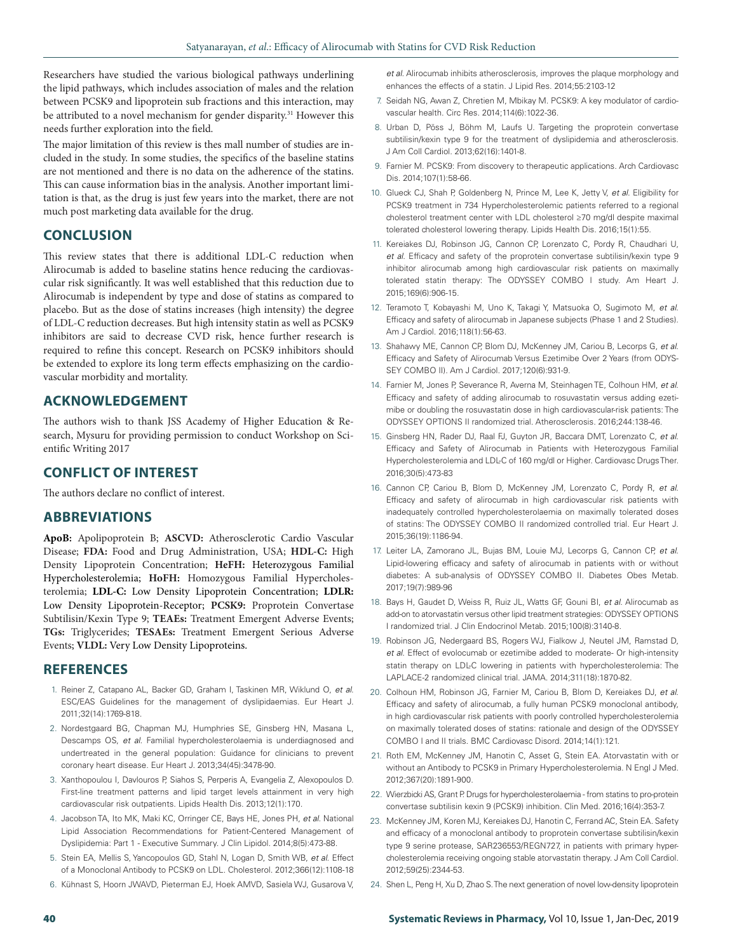Researchers have studied the various biological pathways underlining the lipid pathways, which includes association of males and the relation between PCSK9 and lipoprotein sub fractions and this interaction, may be attributed to a novel mechanism for gender disparity.<sup>31</sup> However this needs further exploration into the field.

The major limitation of this review is thes mall number of studies are included in the study. In some studies, the specifics of the baseline statins are not mentioned and there is no data on the adherence of the statins. This can cause information bias in the analysis. Another important limitation is that, as the drug is just few years into the market, there are not much post marketing data available for the drug.

## **CONCLUSION**

This review states that there is additional LDL-C reduction when Alirocumab is added to baseline statins hence reducing the cardiovascular risk significantly. It was well established that this reduction due to Alirocumab is independent by type and dose of statins as compared to placebo. But as the dose of statins increases (high intensity) the degree of LDL-C reduction decreases. But high intensity statin as well as PCSK9 inhibitors are said to decrease CVD risk, hence further research is required to refine this concept. Research on PCSK9 inhibitors should be extended to explore its long term effects emphasizing on the cardiovascular morbidity and mortality.

## **ACKNOWLEDGEMENT**

The authors wish to thank JSS Academy of Higher Education & Research, Mysuru for providing permission to conduct Workshop on Scientific Writing 2017

## **CONFLICT OF INTEREST**

The authors declare no conflict of interest.

## **ABBREVIATIONS**

**ApoB:** Apolipoprotein B; **ASCVD:** Atherosclerotic Cardio Vascular Disease; **FDA:** Food and Drug Administration, USA; **HDL-C:** High Density Lipoprotein Concentration; **HeFH:** Heterozygous Familial Hypercholesterolemia; **HoFH:** Homozygous Familial Hypercholesterolemia; **LDL-C:** Low Density Lipoprotein Concentration; **LDLR:**  Low Density Lipoprotein-Receptor; **PCSK9:** Proprotein Convertase Subtilisin/Kexin Type 9; **TEAEs:** Treatment Emergent Adverse Events; **TGs:** Triglycerides; **TESAEs:** Treatment Emergent Serious Adverse Events; **VLDL:** Very Low Density Lipoproteins.

## **REFERENCES**

- 1. Reiner Z, Catapano AL, Backer GD, Graham I, Taskinen MR, Wiklund O, *et al*. ESC/EAS Guidelines for the management of dyslipidaemias. Eur Heart J. 2011;32(14):1769-818.
- 2. Nordestgaard BG, Chapman MJ, Humphries SE, Ginsberg HN, Masana L, Descamps OS, *et al*. Familial hypercholesterolaemia is underdiagnosed and undertreated in the general population: Guidance for clinicians to prevent coronary heart disease. Eur Heart J. 2013;34(45):3478-90.
- 3. Xanthopoulou I, Davlouros P, Siahos S, Perperis A, Evangelia Z, Alexopoulos D. First-line treatment patterns and lipid target levels attainment in very high cardiovascular risk outpatients. Lipids Health Dis. 2013;12(1):170.
- 4. Jacobson TA, Ito MK, Maki KC, Orringer CE, Bays HE, Jones PH, *et al*. National Lipid Association Recommendations for Patient-Centered Management of Dyslipidemia: Part 1 - Executive Summary. J Clin Lipidol. 2014;8(5):473-88.
- 5. Stein EA, Mellis S, Yancopoulos GD, Stahl N, Logan D, Smith WB, *et al*. Effect of a Monoclonal Antibody to PCSK9 on LDL. Cholesterol. 2012;366(12):1108-18
- 6. Kühnast S, Hoorn JWAVD, Pieterman EJ, Hoek AMVD, Sasiela WJ, Gusarova V,

*et al*. Alirocumab inhibits atherosclerosis, improves the plaque morphology and enhances the effects of a statin. J Lipid Res. 2014;55:2103-12

- 7. Seidah NG, Awan Z, Chretien M, Mbikay M. PCSK9: A key modulator of cardiovascular health. Circ Res. 2014;114(6):1022-36.
- 8. Urban D, Pöss J, Böhm M, Laufs U. Targeting the proprotein convertase subtilisin/kexin type 9 for the treatment of dyslipidemia and atherosclerosis. J Am Coll Cardiol. 2013;62(16):1401-8.
- 9. Farnier M. PCSK9: From discovery to therapeutic applications. Arch Cardiovasc Dis. 2014;107(1):58-66.
- 10. Glueck CJ, Shah P, Goldenberg N, Prince M, Lee K, Jetty V, *et al*. Eligibility for PCSK9 treatment in 734 Hypercholesterolemic patients referred to a regional cholesterol treatment center with LDL cholesterol ≥70 mg/dl despite maximal tolerated cholesterol lowering therapy. Lipids Health Dis. 2016;15(1):55.
- 11. Kereiakes DJ, Robinson JG, Cannon CP, Lorenzato C, Pordy R, Chaudhari U, *et al*. Efficacy and safety of the proprotein convertase subtilisin/kexin type 9 inhibitor alirocumab among high cardiovascular risk patients on maximally tolerated statin therapy: The ODYSSEY COMBO I study. Am Heart J. 2015;169(6):906-15.
- 12. Teramoto T, Kobayashi M, Uno K, Takagi Y, Matsuoka O, Sugimoto M, *et al*. Efficacy and safety of alirocumab in Japanese subjects (Phase 1 and 2 Studies). Am J Cardiol. 2016;118(1):56-63.
- 13. Shahawy ME, Cannon CP, Blom DJ, McKenney JM, Cariou B, Lecorps G, *et al*. Efficacy and Safety of Alirocumab Versus Ezetimibe Over 2 Years (from ODYS-SEY COMBO II). Am J Cardiol. 2017;120(6):931-9.
- 14. Farnier M, Jones P, Severance R, Averna M, Steinhagen TE, Colhoun HM, *et al*. Efficacy and safety of adding alirocumab to rosuvastatin versus adding ezetimibe or doubling the rosuvastatin dose in high cardiovascular-risk patients: The ODYSSEY OPTIONS II randomized trial. Atherosclerosis. 2016;244:138-46.
- 15. Ginsberg HN, Rader DJ, Raal FJ, Guyton JR, Baccara DMT, Lorenzato C, *et al*. Efficacy and Safety of Alirocumab in Patients with Heterozygous Familial Hypercholesterolemia and LDL-C of 160 mg/dl or Higher. Cardiovasc Drugs Ther. 2016;30(5):473-83
- 16. Cannon CP, Cariou B, Blom D, McKenney JM, Lorenzato C, Pordy R, *et al*. Efficacy and safety of alirocumab in high cardiovascular risk patients with inadequately controlled hypercholesterolaemia on maximally tolerated doses of statins: The ODYSSEY COMBO II randomized controlled trial. Eur Heart J. 2015;36(19):1186-94.
- 17. Leiter LA, Zamorano JL, Bujas BM, Louie MJ, Lecorps G, Cannon CP, *et al*. Lipid-lowering efficacy and safety of alirocumab in patients with or without diabetes: A sub-analysis of ODYSSEY COMBO II. Diabetes Obes Metab. 2017;19(7):989-96
- 18. Bays H, Gaudet D, Weiss R, Ruiz JL, Watts GF, Gouni BI, *et al*. Alirocumab as add-on to atorvastatin versus other lipid treatment strategies: ODYSSEY OPTIONS I randomized trial. J Clin Endocrinol Metab. 2015;100(8):3140-8.
- 19. Robinson JG, Nedergaard BS, Rogers WJ, Fialkow J, Neutel JM, Ramstad D, *et al*. Effect of evolocumab or ezetimibe added to moderate- Or high-intensity statin therapy on LDL-C lowering in patients with hypercholesterolemia: The LAPLACE-2 randomized clinical trial. JAMA. 2014;311(18):1870-82.
- 20. Colhoun HM, Robinson JG, Farnier M, Cariou B, Blom D, Kereiakes DJ, *et al*. Efficacy and safety of alirocumab, a fully human PCSK9 monoclonal antibody, in high cardiovascular risk patients with poorly controlled hypercholesterolemia on maximally tolerated doses of statins: rationale and design of the ODYSSEY COMBO I and II trials. BMC Cardiovasc Disord. 2014;14(1):121.
- 21. Roth EM, McKenney JM, Hanotin C, Asset G, Stein EA. Atorvastatin with or without an Antibody to PCSK9 in Primary Hypercholesterolemia. N Engl J Med. 2012;367(20):1891-900.
- 22. Wierzbicki AS, Grant P. Drugs for hypercholesterolaemia from statins to pro-protein convertase subtilisin kexin 9 (PCSK9) inhibition. Clin Med. 2016;16(4):353-7.
- 23. McKenney JM, Koren MJ, Kereiakes DJ, Hanotin C, Ferrand AC, Stein EA. Safety and efficacy of a monoclonal antibody to proprotein convertase subtilisin/kexin type 9 serine protease, SAR236553/REGN727, in patients with primary hypercholesterolemia receiving ongoing stable atorvastatin therapy. J Am Coll Cardiol. 2012;59(25):2344-53.
- 24. Shen L, Peng H, Xu D, Zhao S. The next generation of novel low-density lipoprotein